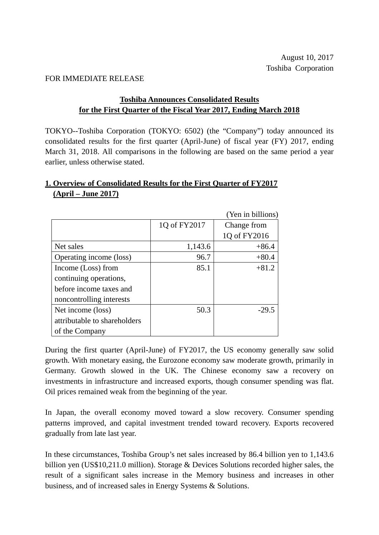#### FOR IMMEDIATE RELEASE

### **Toshiba Announces Consolidated Results for the First Quarter of the Fiscal Year 2017, Ending March 2018**

TOKYO--Toshiba Corporation (TOKYO: 6502) (the "Company") today announced its consolidated results for the first quarter (April-June) of fiscal year (FY) 2017, ending March 31, 2018. All comparisons in the following are based on the same period a year earlier, unless otherwise stated.

## **1. Overview of Consolidated Results for the First Quarter of FY2017 (April – June 2017)**

|                              |              | (Yen in billions) |
|------------------------------|--------------|-------------------|
|                              | 1Q of FY2017 | Change from       |
|                              |              | 1Q of FY2016      |
| Net sales                    | 1,143.6      | $+86.4$           |
| Operating income (loss)      | 96.7         | $+80.4$           |
| Income (Loss) from           | 85.1         | $+81.2$           |
| continuing operations,       |              |                   |
| before income taxes and      |              |                   |
| noncontrolling interests     |              |                   |
| Net income (loss)            | 50.3         | $-29.5$           |
| attributable to shareholders |              |                   |
| of the Company               |              |                   |

During the first quarter (April-June) of FY2017, the US economy generally saw solid growth. With monetary easing, the Eurozone economy saw moderate growth, primarily in Germany. Growth slowed in the UK. The Chinese economy saw a recovery on investments in infrastructure and increased exports, though consumer spending was flat. Oil prices remained weak from the beginning of the year.

In Japan, the overall economy moved toward a slow recovery. Consumer spending patterns improved, and capital investment trended toward recovery. Exports recovered gradually from late last year.

In these circumstances, Toshiba Group's net sales increased by 86.4 billion yen to 1,143.6 billion yen (US\$10,211.0 million). Storage & Devices Solutions recorded higher sales, the result of a significant sales increase in the Memory business and increases in other business, and of increased sales in Energy Systems & Solutions.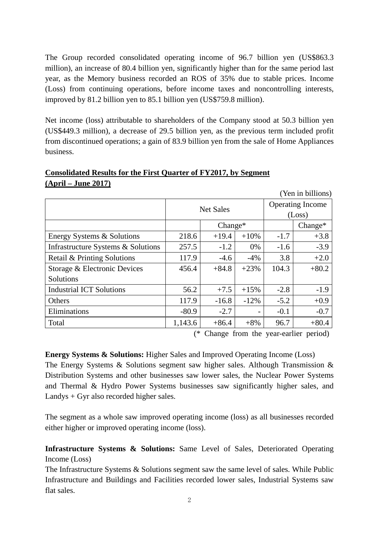The Group recorded consolidated operating income of 96.7 billion yen (US\$863.3 million), an increase of 80.4 billion yen, significantly higher than for the same period last year, as the Memory business recorded an ROS of 35% due to stable prices. Income (Loss) from continuing operations, before income taxes and noncontrolling interests, improved by 81.2 billion yen to 85.1 billion yen (US\$759.8 million).

Net income (loss) attributable to shareholders of the Company stood at 50.3 billion yen (US\$449.3 million), a decrease of 29.5 billion yen, as the previous term included profit from discontinued operations; a gain of 83.9 billion yen from the sale of Home Appliances business.

## **Consolidated Results for the First Quarter of FY2017, by Segment (April – June 2017)**

 (Yen in billions) Net Sales **Operating Income** (Loss) Change\* Change\* Energy Systems & Solutions  $218.6$  +19.4 +10% -1.7 +3.8 Infrastructure Systems & Solutions  $\begin{vmatrix} 257.5 & -1.2 & 0\% & -1.6 & -3.9 \end{vmatrix}$ Retail & Printing Solutions  $|117.9 |$  -4.6  $-4\% |$  3.8 +2.0 Storage & Electronic Devices Solutions  $456.4$   $+84.8$   $+23\%$   $104.3$   $+80.2$ Industrial ICT Solutions 56.2 +7.5 +15% -2.8 -1.9 Others 117.9 -16.8 -12% -5.2 +0.9 Eliminations  $-80.9$   $-2.7$   $-1$   $-0.1$   $-0.7$ Total  $1,143.6$   $+86.4$   $+8\%$  96.7  $+80.4$ 

(\* Change from the year-earlier period)

## **Energy Systems & Solutions:** Higher Sales and Improved Operating Income (Loss)

The Energy Systems & Solutions segment saw higher sales. Although Transmission & Distribution Systems and other businesses saw lower sales, the Nuclear Power Systems and Thermal & Hydro Power Systems businesses saw significantly higher sales, and Landys + Gyr also recorded higher sales.

The segment as a whole saw improved operating income (loss) as all businesses recorded either higher or improved operating income (loss).

**Infrastructure Systems & Solutions:** Same Level of Sales, Deteriorated Operating Income (Loss)

The Infrastructure Systems & Solutions segment saw the same level of sales. While Public Infrastructure and Buildings and Facilities recorded lower sales, Industrial Systems saw flat sales.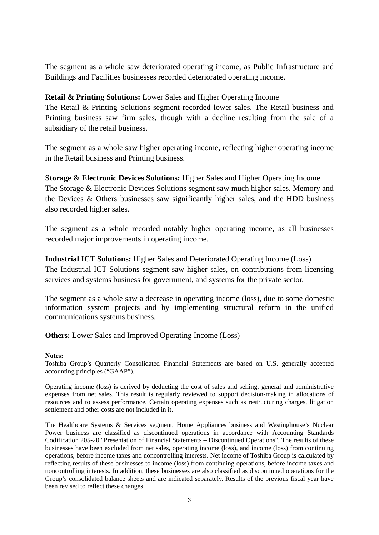The segment as a whole saw deteriorated operating income, as Public Infrastructure and Buildings and Facilities businesses recorded deteriorated operating income.

### **Retail & Printing Solutions:** Lower Sales and Higher Operating Income

The Retail & Printing Solutions segment recorded lower sales. The Retail business and Printing business saw firm sales, though with a decline resulting from the sale of a subsidiary of the retail business.

The segment as a whole saw higher operating income, reflecting higher operating income in the Retail business and Printing business.

**Storage & Electronic Devices Solutions:** Higher Sales and Higher Operating Income The Storage & Electronic Devices Solutions segment saw much higher sales. Memory and the Devices & Others businesses saw significantly higher sales, and the HDD business also recorded higher sales.

The segment as a whole recorded notably higher operating income, as all businesses recorded major improvements in operating income.

## **Industrial ICT Solutions:** Higher Sales and Deteriorated Operating Income (Loss)

The Industrial ICT Solutions segment saw higher sales, on contributions from licensing services and systems business for government, and systems for the private sector.

The segment as a whole saw a decrease in operating income (loss), due to some domestic information system projects and by implementing structural reform in the unified communications systems business.

**Others:** Lower Sales and Improved Operating Income (Loss)

#### **Notes:**

Toshiba Group's Quarterly Consolidated Financial Statements are based on U.S. generally accepted accounting principles ("GAAP").

Operating income (loss) is derived by deducting the cost of sales and selling, general and administrative expenses from net sales. This result is regularly reviewed to support decision-making in allocations of resources and to assess performance. Certain operating expenses such as restructuring charges, litigation settlement and other costs are not included in it.

The Healthcare Systems & Services segment, Home Appliances business and Westinghouse's Nuclear Power business are classified as discontinued operations in accordance with Accounting Standards Codification 205-20 "Presentation of Financial Statements – Discontinued Operations". The results of these businesses have been excluded from net sales, operating income (loss), and income (loss) from continuing operations, before income taxes and noncontrolling interests. Net income of Toshiba Group is calculated by reflecting results of these businesses to income (loss) from continuing operations, before income taxes and noncontrolling interests. In addition, these businesses are also classified as discontinued operations for the Group's consolidated balance sheets and are indicated separately. Results of the previous fiscal year have been revised to reflect these changes.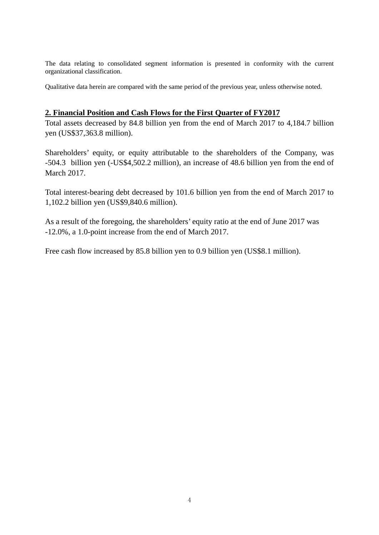The data relating to consolidated segment information is presented in conformity with the current organizational classification.

Qualitative data herein are compared with the same period of the previous year, unless otherwise noted.

### **2. Financial Position and Cash Flows for the First Quarter of FY2017**

Total assets decreased by 84.8 billion yen from the end of March 2017 to 4,184.7 billion yen (US\$37,363.8 million).

Shareholders' equity, or equity attributable to the shareholders of the Company, was -504.3 billion yen (-US\$4,502.2 million), an increase of 48.6 billion yen from the end of March 2017.

Total interest-bearing debt decreased by 101.6 billion yen from the end of March 2017 to 1,102.2 billion yen (US\$9,840.6 million).

As a result of the foregoing, the shareholders' equity ratio at the end of June 2017 was -12.0%, a 1.0-point increase from the end of March 2017.

Free cash flow increased by 85.8 billion yen to 0.9 billion yen (US\$8.1 million).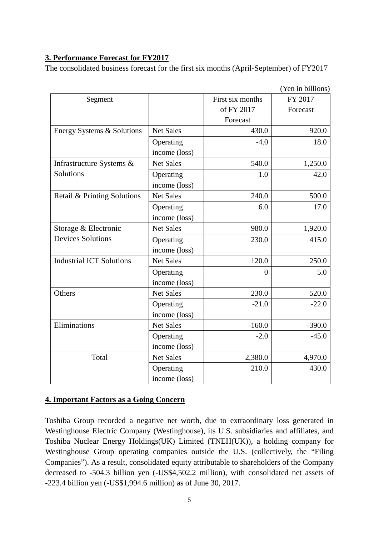## **3. Performance Forecast for FY2017**

The consolidated business forecast for the first six months (April-September) of FY2017

|                                 |                  |                  | (Yen in billions) |  |
|---------------------------------|------------------|------------------|-------------------|--|
| Segment                         |                  | First six months | FY 2017           |  |
|                                 |                  | of FY 2017       | Forecast          |  |
|                                 |                  | Forecast         |                   |  |
| Energy Systems & Solutions      | <b>Net Sales</b> | 430.0            | 920.0             |  |
|                                 | Operating        | $-4.0$           | 18.0              |  |
|                                 | income (loss)    |                  |                   |  |
| Infrastructure Systems &        | <b>Net Sales</b> | 540.0            | 1,250.0           |  |
| Solutions                       | Operating        | 1.0              | 42.0              |  |
|                                 | income (loss)    |                  |                   |  |
| Retail & Printing Solutions     | <b>Net Sales</b> | 240.0            | 500.0             |  |
|                                 | Operating        | 6.0              | 17.0              |  |
|                                 | income (loss)    |                  |                   |  |
| Storage & Electronic            | <b>Net Sales</b> | 980.0            | 1,920.0           |  |
| <b>Devices Solutions</b>        | Operating        | 230.0            | 415.0             |  |
|                                 | income (loss)    |                  |                   |  |
| <b>Industrial ICT Solutions</b> | <b>Net Sales</b> | 120.0            | 250.0             |  |
|                                 | Operating        | $\Omega$         | 5.0               |  |
|                                 | income (loss)    |                  |                   |  |
| Others                          | <b>Net Sales</b> | 230.0            | 520.0             |  |
|                                 | Operating        | $-21.0$          | $-22.0$           |  |
|                                 | income (loss)    |                  |                   |  |
| Eliminations                    | <b>Net Sales</b> | $-160.0$         | $-390.0$          |  |
|                                 | Operating        | $-2.0$           | $-45.0$           |  |
|                                 | income (loss)    |                  |                   |  |
| Total                           | <b>Net Sales</b> | 2,380.0          | 4,970.0           |  |
|                                 | Operating        | 210.0            | 430.0             |  |
|                                 | income (loss)    |                  |                   |  |

**4. Important Factors as a Going Concern**

Toshiba Group recorded a negative net worth, due to extraordinary loss generated in Westinghouse Electric Company (Westinghouse), its U.S. subsidiaries and affiliates, and Toshiba Nuclear Energy Holdings(UK) Limited (TNEH(UK)), a holding company for Westinghouse Group operating companies outside the U.S. (collectively, the "Filing Companies"). As a result, consolidated equity attributable to shareholders of the Company decreased to -504.3 billion yen (-US\$4,502.2 million), with consolidated net assets of -223.4 billion yen (-US\$1,994.6 million) as of June 30, 2017.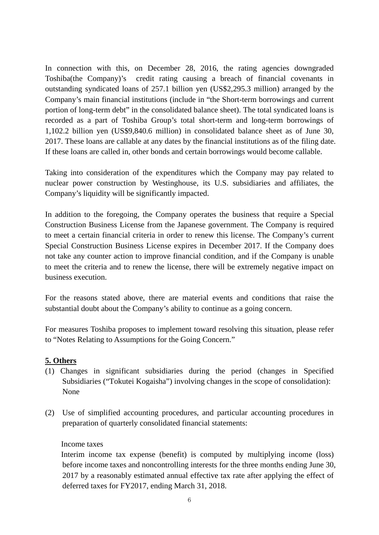In connection with this, on December 28, 2016, the rating agencies downgraded Toshiba(the Company)'s credit rating causing a breach of financial covenants in outstanding syndicated loans of 257.1 billion yen (US\$2,295.3 million) arranged by the Company's main financial institutions (include in "the Short-term borrowings and current portion of long-term debt" in the consolidated balance sheet). The total syndicated loans is recorded as a part of Toshiba Group's total short-term and long-term borrowings of 1,102.2 billion yen (US\$9,840.6 million) in consolidated balance sheet as of June 30, 2017. These loans are callable at any dates by the financial institutions as of the filing date. If these loans are called in, other bonds and certain borrowings would become callable.

Taking into consideration of the expenditures which the Company may pay related to nuclear power construction by Westinghouse, its U.S. subsidiaries and affiliates, the Company's liquidity will be significantly impacted.

In addition to the foregoing, the Company operates the business that require a Special Construction Business License from the Japanese government. The Company is required to meet a certain financial criteria in order to renew this license. The Company's current Special Construction Business License expires in December 2017. If the Company does not take any counter action to improve financial condition, and if the Company is unable to meet the criteria and to renew the license, there will be extremely negative impact on business execution.

For the reasons stated above, there are material events and conditions that raise the substantial doubt about the Company's ability to continue as a going concern.

For measures Toshiba proposes to implement toward resolving this situation, please refer to "Notes Relating to Assumptions for the Going Concern."

## **5. Others**

- (1) Changes in significant subsidiaries during the period (changes in Specified Subsidiaries ("Tokutei Kogaisha") involving changes in the scope of consolidation): None
- (2) Use of simplified accounting procedures, and particular accounting procedures in preparation of quarterly consolidated financial statements:

#### Income taxes

Interim income tax expense (benefit) is computed by multiplying income (loss) before income taxes and noncontrolling interests for the three months ending June 30, 2017 by a reasonably estimated annual effective tax rate after applying the effect of deferred taxes for FY2017, ending March 31, 2018.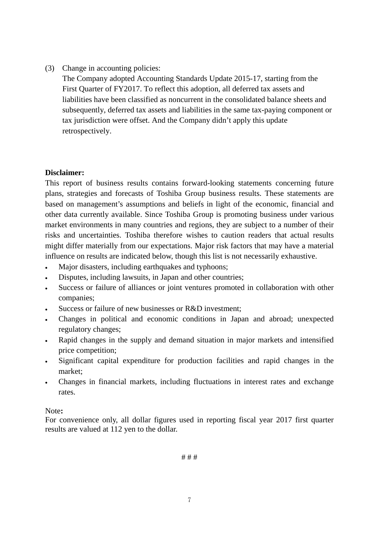(3) Change in accounting policies:

The Company adopted Accounting Standards Update 2015-17, starting from the First Quarter of FY2017. To reflect this adoption, all deferred tax assets and liabilities have been classified as noncurrent in the consolidated balance sheets and subsequently, deferred tax assets and liabilities in the same tax-paying component or tax jurisdiction were offset. And the Company didn't apply this update retrospectively.

## **Disclaimer:**

This report of business results contains forward-looking statements concerning future plans, strategies and forecasts of Toshiba Group business results. These statements are based on management's assumptions and beliefs in light of the economic, financial and other data currently available. Since Toshiba Group is promoting business under various market environments in many countries and regions, they are subject to a number of their risks and uncertainties. Toshiba therefore wishes to caution readers that actual results might differ materially from our expectations. Major risk factors that may have a material influence on results are indicated below, though this list is not necessarily exhaustive.

- Major disasters, including earthquakes and typhoons;
- Disputes, including lawsuits, in Japan and other countries;
- Success or failure of alliances or joint ventures promoted in collaboration with other companies;
- Success or failure of new businesses or R&D investment;
- Changes in political and economic conditions in Japan and abroad; unexpected regulatory changes;
- Rapid changes in the supply and demand situation in major markets and intensified price competition;
- Significant capital expenditure for production facilities and rapid changes in the market;
- Changes in financial markets, including fluctuations in interest rates and exchange rates.

#### Note**:**

For convenience only, all dollar figures used in reporting fiscal year 2017 first quarter results are valued at 112 yen to the dollar.

# # #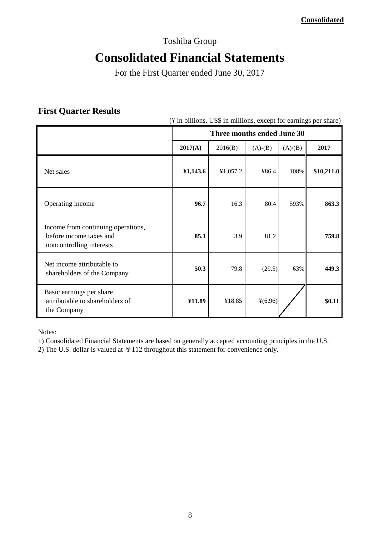## Toshiba Group

# **Consolidated Financial Statements**

For the First Quarter ended June 30, 2017

## **First Quarter Results**

(\ in billions, US\$ in millions, except for earnings per share)

|                                                                                           | Three months ended June 30 |          |           |         |            |
|-------------------------------------------------------------------------------------------|----------------------------|----------|-----------|---------|------------|
|                                                                                           | 2017(A)                    | 2016(B)  | $(A)-(B)$ | (A)/(B) | 2017       |
| Net sales                                                                                 | 41,143.6                   | ¥1,057.2 | ¥86.4     | 108%    | \$10,211.0 |
| Operating income                                                                          | 96.7                       | 16.3     | 80.4      | 593%    | 863.3      |
| Income from continuing operations,<br>before income taxes and<br>noncontrolling interests | 85.1                       | 3.9      | 81.2      |         | 759.8      |
| Net income attributable to<br>shareholders of the Company                                 | 50.3                       | 79.8     | (29.5)    | 63%     | 449.3      |
| Basic earnings per share<br>attributable to shareholders of<br>the Company                | ¥11.89                     | ¥18.85   | $*(6.96)$ |         | \$0.11     |

Notes:

1) Consolidated Financial Statements are based on generally accepted accounting principles in the U.S.

2) The U.S. dollar is valued at  $\text{\textless} 112$  throughout this statement for convenience only.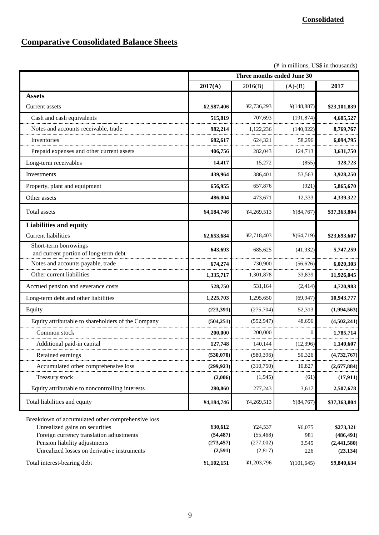## **Comparative Consolidated Balance Sheets**

 $(\frac{4}{3}$  in millions, US\$ in thousands)

|                                                                                                                                                                  | Three months ended June 30         |                                   |                        |                                        |  |
|------------------------------------------------------------------------------------------------------------------------------------------------------------------|------------------------------------|-----------------------------------|------------------------|----------------------------------------|--|
|                                                                                                                                                                  | 2017(A)                            | 2016(B)                           | $(A)-(B)$              | 2017                                   |  |
| <b>Assets</b>                                                                                                                                                    |                                    |                                   |                        |                                        |  |
| Current assets                                                                                                                                                   | ¥2,587,406                         | ¥2,736,293                        | ¥(148,887)             | \$23,101,839                           |  |
| Cash and cash equivalents                                                                                                                                        | 515,819                            | 707,693                           | (191, 874)             | 4,605,527                              |  |
| Notes and accounts receivable, trade                                                                                                                             | 982,214                            | 1,122,236                         | (140, 022)             | 8,769,767                              |  |
| Inventories                                                                                                                                                      | 682,617                            | 624,321                           | 58,296                 | 6,094,795                              |  |
| Prepaid expenses and other current assets                                                                                                                        | 406,756                            | 282,043                           | 124,713                | 3,631,750                              |  |
| Long-term receivables                                                                                                                                            | 14,417                             | 15,272                            | (855)                  | 128,723                                |  |
| Investments                                                                                                                                                      | 439,964                            | 386,401                           | 53,563                 | 3,928,250                              |  |
| Property, plant and equipment                                                                                                                                    | 656,955                            | 657,876                           | (921)                  | 5,865,670                              |  |
| Other assets                                                                                                                                                     | 486,004                            | 473,671                           | 12,333                 | 4,339,322                              |  |
| <b>Total assets</b>                                                                                                                                              | ¥4,184,746                         | ¥4,269,513                        | ¥(84,767)              | \$37,363,804                           |  |
| <b>Liabilities and equity</b>                                                                                                                                    |                                    |                                   |                        |                                        |  |
| <b>Current liabilities</b>                                                                                                                                       | ¥2,653,684                         | ¥2,718,403                        | ¥(64,719)              | \$23,693,607                           |  |
| Short-term borrowings<br>and current portion of long-term debt                                                                                                   | 643,693                            | 685,625                           | (41,932)               | 5,747,259                              |  |
| Notes and accounts payable, trade                                                                                                                                | 674,274                            | 730,900                           | (56,626)               | 6,020,303                              |  |
| Other current liabilities                                                                                                                                        | 1,335,717                          | 1,301,878                         | 33,839                 | 11,926,045                             |  |
| Accrued pension and severance costs                                                                                                                              | 528,750                            | 531,164                           | (2, 414)               | 4,720,983                              |  |
| Long-term debt and other liabilities                                                                                                                             | 1,225,703                          | 1,295,650                         | (69, 947)              | 10,943,777                             |  |
| Equity                                                                                                                                                           | (223,391)                          | (275,704)                         | 52,313                 | (1,994,563)                            |  |
| Equity attributable to shareholders of the Company                                                                                                               | (504, 251)                         | (552, 947)                        | 48,696                 | (4,502,241)                            |  |
| Common stock                                                                                                                                                     | 200,000                            | 200,000                           | $\overline{0}$         | 1,785,714                              |  |
| Additional paid-in capital                                                                                                                                       | 127,748                            | 140,144                           | (12, 396)              | 1,140,607                              |  |
| Retained earnings                                                                                                                                                | (530, 070)                         | (580, 396)                        | 50,326                 | (4,132,101)                            |  |
| Accumulated other comprehensive loss                                                                                                                             | (299.923)                          | (310,750)                         | 10,827                 | (2,677,884)                            |  |
| <b>Treasury stock</b>                                                                                                                                            | (2,006)                            | (1,945)                           | (61)                   | (17,911)                               |  |
| Equity attributable to noncontrolling interests                                                                                                                  | 280,860                            | 277,243                           | 3,617                  | 2,507,678                              |  |
| Total liabilities and equity                                                                                                                                     | ¥4,184,746                         | ¥4,269,513                        | ¥(84,767)              | \$37,363,804                           |  |
| Breakdown of accumulated other comprehensive loss<br>Unrealized gains on securities<br>Foreign currency translation adjustments<br>Pension liability adjustments | ¥30,612<br>(54, 487)<br>(273, 457) | ¥24,537<br>(55, 468)<br>(277,002) | ¥6,075<br>981<br>3,545 | \$273,321<br>(486, 491)<br>(2,441,580) |  |
| Unrealized losses on derivative instruments<br>Total interest-bearing debt                                                                                       | (2,591)<br>¥1,102,151              | (2,817)<br>¥1,203,796             | 226<br>¥(101,645)      | (23, 134)<br>\$9,840,634               |  |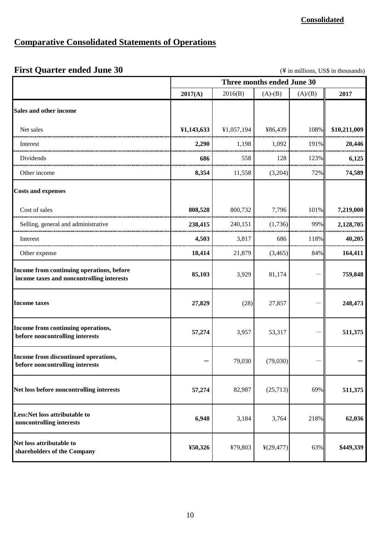# **Comparative Consolidated Statements of Operations**

# **First Quarter ended June 30** (\\ in millions, US\$ in thousands)

|                                                                                        | Three months ended June 30 |            |                       |         |              |
|----------------------------------------------------------------------------------------|----------------------------|------------|-----------------------|---------|--------------|
|                                                                                        | 2017(A)                    | 2016(B)    | $(A)-(B)$             | (A)/(B) | 2017         |
| <b>Sales and other income</b>                                                          |                            |            |                       |         |              |
| Net sales                                                                              | ¥1,143,633                 | ¥1,057,194 | ¥86,439               | 108%    | \$10,211,009 |
| Interest                                                                               | 2,290                      | 1,198      | 1,092                 | 191%    | 20,446       |
| Dividends                                                                              | 686                        | 558        | 128                   | 123%    | 6,125        |
| Other income                                                                           | 8,354                      | 11,558     | (3,204)               | 72%     | 74,589       |
| <b>Costs and expenses</b>                                                              |                            |            |                       |         |              |
| Cost of sales                                                                          | 808,528                    | 800,732    | 7,796                 | 101%    | 7,219,000    |
| Selling, general and administrative                                                    | 238,415                    | 240,151    | (1,736)               | 99%     | 2,128,705    |
| Interest                                                                               | 4,503                      | 3,817      | 686                   | 118%    | 40,205       |
| Other expense                                                                          | 18,414                     | 21,879     | (3, 465)              | 84%     | 164,411      |
| Income from continuing operations, before<br>income taxes and noncontrolling interests | 85,103                     | 3,929      | 81,174                |         | 759,848      |
| <b>Income taxes</b>                                                                    | 27,829                     | (28)       | 27,857                |         | 248,473      |
| Income from continuing operations,<br>before noncontrolling interests                  | 57,274                     | 3,957      | 53,317                |         | 511,375      |
| Income from discontinued operations,<br>before noncontrolling interests                |                            | 79,030     | (79,030)              |         |              |
| Net loss before noncontrolling interests                                               | 57,274                     | 82,987     | (25,713)              | 69%     | 511,375      |
| Less:Net loss attributable to<br>noncontrolling interests                              | 6,948                      | 3,184      | 3,764                 | 218%    | 62,036       |
| Net loss attributable to<br>shareholders of the Company                                | ¥50,326                    | ¥79,803    | $\frac{1}{2}(29,477)$ | 63%     | \$449,339    |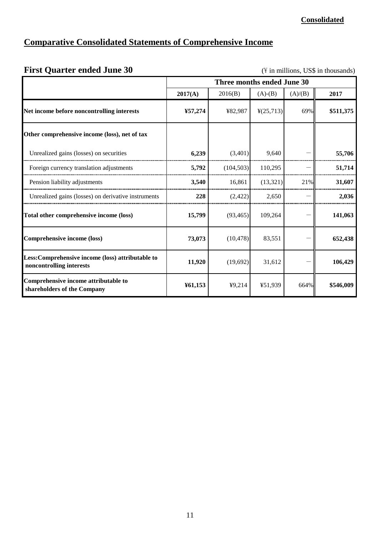# **Comparative Consolidated Statements of Comprehensive Income**

| <b>First Quarter ended June 30</b><br>$(\frac{1}{2})$ in millions, US\$ in thousands) |                            |            |                       |         |           |
|---------------------------------------------------------------------------------------|----------------------------|------------|-----------------------|---------|-----------|
|                                                                                       | Three months ended June 30 |            |                       |         |           |
|                                                                                       | 2017(A)                    | 2016(B)    | $(A)-(B)$             | (A)/(B) | 2017      |
| Net income before noncontrolling interests                                            | ¥57,274                    | ¥82,987    | $\frac{1}{2}(25,713)$ | 69%     | \$511,375 |
| Other comprehensive income (loss), net of tax                                         |                            |            |                       |         |           |
| Unrealized gains (losses) on securities                                               | 6,239                      | (3,401)    | 9,640                 |         | 55,706    |
| Foreign currency translation adjustments                                              | 5,792                      | (104, 503) | 110,295               |         | 51,714    |
| Pension liability adjustments                                                         | 3,540                      | 16,861     | (13, 321)             | 21%     | 31,607    |
| Unrealized gains (losses) on derivative instruments                                   | 228                        | (2, 422)   | 2,650                 |         | 2,036     |
| Total other comprehensive income (loss)                                               | 15,799                     | (93, 465)  | 109,264               |         | 141,063   |
| <b>Comprehensive income (loss)</b>                                                    | 73,073                     | (10, 478)  | 83,551                |         | 652,438   |
| Less: Comprehensive income (loss) attributable to<br>noncontrolling interests         | 11,920                     | (19,692)   | 31,612                |         | 106,429   |
| Comprehensive income attributable to<br>shareholders of the Company                   | ¥61,153                    | 49,214     | ¥51,939               | 664%    | \$546,009 |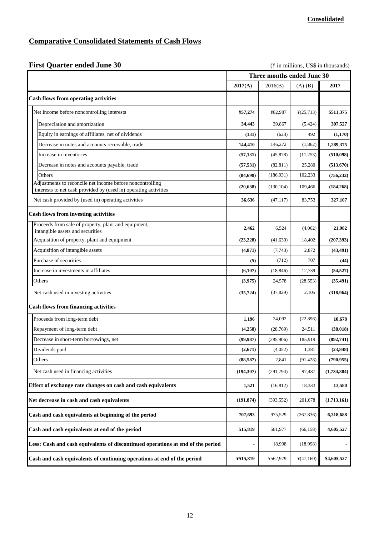## **Comparative Consolidated Statements of Cash Flows**

## **First Quarter ended June 30** (\NA) (\NA) (\NA) in millions, US\$ in thousands)

|                                                                                                                               | Three months ended June 30 |            |                        |             |
|-------------------------------------------------------------------------------------------------------------------------------|----------------------------|------------|------------------------|-------------|
|                                                                                                                               | 2017(A)                    | 2016(B)    | $(A)-(B)$              | 2017        |
| <b>Cash flows from operating activities</b>                                                                                   |                            |            |                        |             |
| Net income before noncontrolling interests                                                                                    | ¥57,274                    | ¥82,987    | $\frac{1}{2}(25, 713)$ | \$511,375   |
| Depreciation and amortization                                                                                                 | 34,443                     | 39,867     | (5, 424)               | 307,527     |
| Equity in earnings of affiliates, net of dividends                                                                            | (131)                      | (623)      | 492                    | (1,170)     |
| Decrease in notes and accounts receivable, trade                                                                              | 144,410                    | 146,272    | (1,862)                | 1,289,375   |
| Increase in inventories                                                                                                       | (57, 131)                  | (45, 878)  | (11,253)               | (510, 098)  |
| Decrease in notes and accounts payable, trade                                                                                 | (57, 531)                  | (82, 811)  | 25,280                 | (513,670)   |
| Others                                                                                                                        | (84, 698)                  | (186, 931) | 102,233                | (756, 232)  |
| Adjustments to reconcile net income before noncontrolling<br>interests to net cash provided by (used in) operating activities | (20, 638)                  | (130, 104) | 109,466                | (184, 268)  |
| Net cash provided by (used in) operating activities                                                                           | 36,636                     | (47, 117)  | 83,753                 | 327,107     |
| <b>Cash flows from investing activities</b>                                                                                   |                            |            |                        |             |
| Proceeds from sale of property, plant and equipment,<br>intangible assets and securities                                      | 2,462                      | 6,524      | (4,062)                | 21.982      |
| Acquisition of property, plant and equipment                                                                                  | (23, 228)                  | (41, 630)  | 18,402                 | (207, 393)  |
| Acquisition of intangible assets                                                                                              | (4, 871)                   | (7,743)    | 2,872                  | (43, 491)   |
| Purchase of securities                                                                                                        | (5)                        | (712)      | 707                    | (44)        |
| Increase in investments in affiliates                                                                                         | (6,107)                    | (18, 846)  | 12,739                 | (54, 527)   |
| Others                                                                                                                        | (3,975)                    | 24,578     | (28, 553)              | (35, 491)   |
| Net cash used in investing activities                                                                                         | (35, 724)                  | (37, 829)  | 2,105                  | (318,964)   |
| <b>Cash flows from financing activities</b>                                                                                   |                            |            |                        |             |
| Proceeds from long-term debt                                                                                                  | 1,196                      | 24,092     | (22, 896)              | 10,678      |
| Repayment of long-term debt                                                                                                   | (4,258)                    | (28,769)   | 24,511                 | (38, 018)   |
| Decrease in short-term borrowings, net                                                                                        | (99, 987)                  | (285,906)  | 185,919                | (892,741)   |
| Dividends paid                                                                                                                | (2,671)                    | (4,052)    | 1,381                  | (23, 848)   |
| Others                                                                                                                        | (88,587)                   | 2,841      | (91, 428)              | (790, 955)  |
| Net cash used in financing activities                                                                                         | (194, 307)                 | (291, 794) | 97,487                 | (1,734,884) |
| Effect of exchange rate changes on cash and cash equivalents                                                                  | 1,521                      | (16, 812)  | 18,333                 | 13,580      |
| Net decrease in cash and cash equivalents                                                                                     | (191, 874)                 | (393, 552) | 201,678                | (1,713,161) |
| Cash and cash equivalents at beginning of the period                                                                          | 707,693                    | 975,529    | (267, 836)             | 6,318,688   |
| Cash and cash equivalents at end of the period                                                                                | 515,819                    | 581,977    | (66, 158)              | 4,605,527   |
| Less: Cash and cash equivalents of discontinued operations at end of the period                                               |                            | 18,998     | (18,998)               |             |
| Cash and cash equivalents of continuing operations at end of the period                                                       | ¥515,819                   | ¥562,979   | ¥(47,160)              | \$4,605,527 |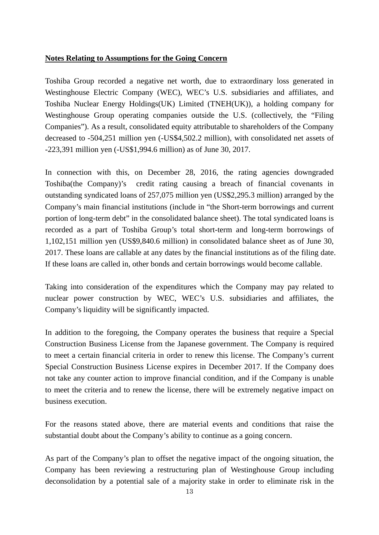#### **Notes Relating to Assumptions for the Going Concern**

Toshiba Group recorded a negative net worth, due to extraordinary loss generated in Westinghouse Electric Company (WEC), WEC's U.S. subsidiaries and affiliates, and Toshiba Nuclear Energy Holdings(UK) Limited (TNEH(UK)), a holding company for Westinghouse Group operating companies outside the U.S. (collectively, the "Filing" Companies"). As a result, consolidated equity attributable to shareholders of the Company decreased to -504,251 million yen (-US\$4,502.2 million), with consolidated net assets of -223,391 million yen (-US\$1,994.6 million) as of June 30, 2017.

In connection with this, on December 28, 2016, the rating agencies downgraded Toshiba(the Company)'s credit rating causing a breach of financial covenants in outstanding syndicated loans of 257,075 million yen (US\$2,295.3 million) arranged by the Company's main financial institutions (include in "the Short-term borrowings and current portion of long-term debt" in the consolidated balance sheet). The total syndicated loans is recorded as a part of Toshiba Group's total short-term and long-term borrowings of 1,102,151 million yen (US\$9,840.6 million) in consolidated balance sheet as of June 30, 2017. These loans are callable at any dates by the financial institutions as of the filing date. If these loans are called in, other bonds and certain borrowings would become callable.

Taking into consideration of the expenditures which the Company may pay related to nuclear power construction by WEC, WEC's U.S. subsidiaries and affiliates, the Company's liquidity will be significantly impacted.

In addition to the foregoing, the Company operates the business that require a Special Construction Business License from the Japanese government. The Company is required to meet a certain financial criteria in order to renew this license. The Company's current Special Construction Business License expires in December 2017. If the Company does not take any counter action to improve financial condition, and if the Company is unable to meet the criteria and to renew the license, there will be extremely negative impact on business execution.

For the reasons stated above, there are material events and conditions that raise the substantial doubt about the Company's ability to continue as a going concern.

As part of the Company's plan to offset the negative impact of the ongoing situation, the Company has been reviewing a restructuring plan of Westinghouse Group including deconsolidation by a potential sale of a majority stake in order to eliminate risk in the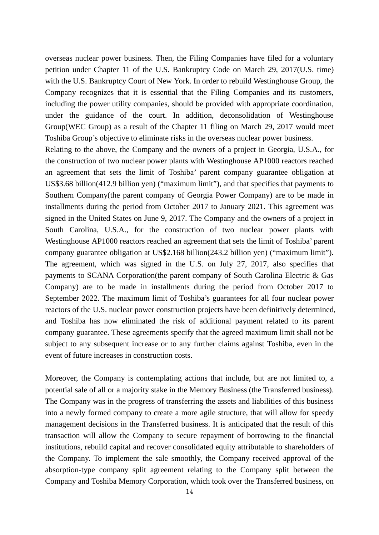overseas nuclear power business. Then, the Filing Companies have filed for a voluntary petition under Chapter 11 of the U.S. Bankruptcy Code on March 29, 2017(U.S. time) with the U.S. Bankruptcy Court of New York. In order to rebuild Westinghouse Group, the Company recognizes that it is essential that the Filing Companies and its customers, including the power utility companies, should be provided with appropriate coordination, under the guidance of the court. In addition, deconsolidation of Westinghouse Group(WEC Group) as a result of the Chapter 11 filing on March 29, 2017 would meet Toshiba Group's objective to eliminate risks in the overseas nuclear power business.

Relating to the above, the Company and the owners of a project in Georgia, U.S.A., for the construction of two nuclear power plants with Westinghouse AP1000 reactors reached an agreement that sets the limit of Toshiba' parent company guarantee obligation at US\$3.68 billion(412.9 billion yen) ("maximum limit"), and that specifies that payments to Southern Company(the parent company of Georgia Power Company) are to be made in installments during the period from October 2017 to January 2021. This agreement was signed in the United States on June 9, 2017. The Company and the owners of a project in South Carolina, U.S.A., for the construction of two nuclear power plants with Westinghouse AP1000 reactors reached an agreement that sets the limit of Toshiba' parent company guarantee obligation at US\$2.168 billion(243.2 billion yen) ("maximum limit"). The agreement, which was signed in the U.S. on July 27, 2017, also specifies that payments to SCANA Corporation(the parent company of South Carolina Electric & Gas Company) are to be made in installments during the period from October 2017 to September 2022. The maximum limit of Toshiba's guarantees for all four nuclear power reactors of the U.S. nuclear power construction projects have been definitively determined, and Toshiba has now eliminated the risk of additional payment related to its parent company guarantee. These agreements specify that the agreed maximum limit shall not be subject to any subsequent increase or to any further claims against Toshiba, even in the event of future increases in construction costs.

Moreover, the Company is contemplating actions that include, but are not limited to, a potential sale of all or a majority stake in the Memory Business (the Transferred business). The Company was in the progress of transferring the assets and liabilities of this business into a newly formed company to create a more agile structure, that will allow for speedy management decisions in the Transferred business. It is anticipated that the result of this transaction will allow the Company to secure repayment of borrowing to the financial institutions, rebuild capital and recover consolidated equity attributable to shareholders of the Company. To implement the sale smoothly, the Company received approval of the absorption-type company split agreement relating to the Company split between the Company and Toshiba Memory Corporation, which took over the Transferred business, on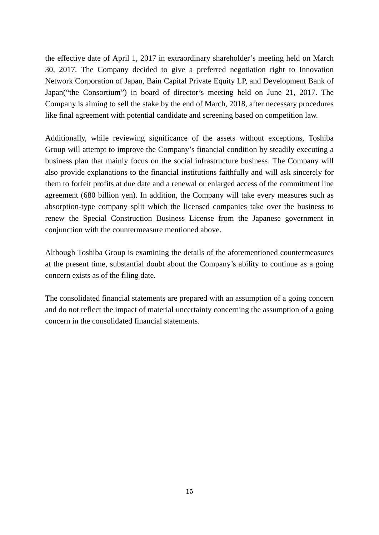the effective date of April 1, 2017 in extraordinary shareholder's meeting held on March 30, 2017. The Company decided to give a preferred negotiation right to Innovation Network Corporation of Japan, Bain Capital Private Equity LP, and Development Bank of Japan("the Consortium") in board of director's meeting held on June 21, 2017. The Company is aiming to sell the stake by the end of March, 2018, after necessary procedures like final agreement with potential candidate and screening based on competition law.

Additionally, while reviewing significance of the assets without exceptions, Toshiba Group will attempt to improve the Company's financial condition by steadily executing a business plan that mainly focus on the social infrastructure business. The Company will also provide explanations to the financial institutions faithfully and will ask sincerely for them to forfeit profits at due date and a renewal or enlarged access of the commitment line agreement (680 billion yen). In addition, the Company will take every measures such as absorption-type company split which the licensed companies take over the business to renew the Special Construction Business License from the Japanese government in conjunction with the countermeasure mentioned above.

Although Toshiba Group is examining the details of the aforementioned countermeasures at the present time, substantial doubt about the Company's ability to continue as a going concern exists as of the filing date.

The consolidated financial statements are prepared with an assumption of a going concern and do not reflect the impact of material uncertainty concerning the assumption of a going concern in the consolidated financial statements.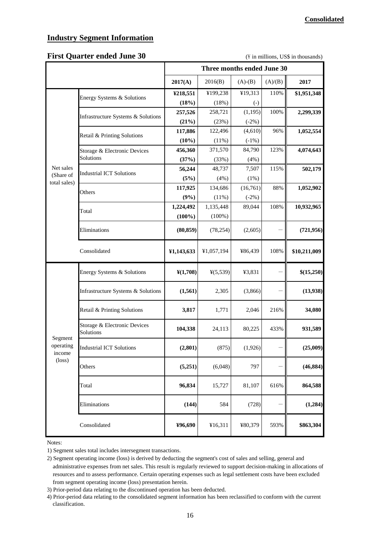#### **Industry Segment Information**

#### First Quarter ended June 30 **and 19 and 19 and 19 and 19 and 19 and 19 and 19 and 19 and 19 and 19 and 19 and 19 and 19 and 19 and 19 and 19 and 19 and 19 and 19 and 19 and 19 and 19 and 19 and 19 and 19 and 19 and 19 and**

|                                |                                           | Three months ended June 30 |                      |                   |         |              |
|--------------------------------|-------------------------------------------|----------------------------|----------------------|-------------------|---------|--------------|
|                                |                                           | 2017(A)                    | 2016(B)              | $(A)-(B)$         | (A)/(B) | 2017         |
|                                | Energy Systems & Solutions                | ¥218,551                   | ¥199,238             | ¥19,313           | 110%    | \$1,951,348  |
|                                |                                           | (18%)                      | (18%)                | $\left( -\right)$ |         |              |
|                                | Infrastructure Systems & Solutions        | 257,526                    | 258,721              | (1, 195)          | 100%    | 2,299,339    |
|                                |                                           | (21%)                      | (23%)                | $(-2%)$           |         |              |
|                                | Retail & Printing Solutions               | 117,886                    | 122,496              | (4,610)           | 96%     | 1,052,554    |
|                                |                                           | (10%)                      | (11%)                | $(-1%)$           |         |              |
|                                | Storage & Electronic Devices              | 456,360                    | 371,570              | 84,790            | 123%    | 4,074,643    |
|                                | Solutions                                 | (37%)                      | (33%)                | (4%)              |         |              |
| Net sales                      | <b>Industrial ICT Solutions</b>           | 56,244                     | 48,737               | 7,507             | 115%    | 502,179      |
| (Share of<br>total sales)      |                                           | (5%)                       | (4%)                 | (1%)              |         |              |
|                                | Others                                    | 117,925                    | 134,686              | (16,761)          | 88%     | 1,052,902    |
|                                |                                           | (9%)                       | (11%)                | $(-2%)$           |         |              |
|                                | Total                                     | 1,224,492                  | 1,135,448            | 89,044            | 108%    | 10,932,965   |
|                                |                                           | $(100\%)$                  | $(100\%)$            |                   |         |              |
|                                | Eliminations                              | (80, 859)                  | (78, 254)            | (2,605)           |         | (721, 956)   |
|                                | Consolidated                              | ¥1,143,633                 | ¥1,057,194           | ¥86,439           | 108%    | \$10,211,009 |
|                                | Energy Systems & Solutions                | $\frac{\text{Y}(1,708)}{}$ | $\frac{1}{2}(5,539)$ | ¥3,831            |         | \$(15,250)   |
|                                | Infrastructure Systems & Solutions        | (1, 561)                   | 2,305                | (3,866)           |         | (13,938)     |
|                                | Retail & Printing Solutions               | 3,817                      | 1,771                | 2,046             | 216%    | 34,080       |
|                                | Storage & Electronic Devices<br>Solutions | 104,338                    | 24,113               | 80,225            | 433%    | 931,589      |
| Segment<br>operating<br>income | Industrial ICT Solutions                  | (2,801)                    | (875)                | (1,926)           |         | (25,009)     |
| $(\text{loss})$                | Others                                    | (5,251)                    | (6,048)              | 797               |         | (46, 884)    |
|                                | Total                                     | 96,834                     | 15,727               | 81,107            | 616%    | 864,588      |
|                                | Eliminations                              | (144)                      | 584                  | (728)             |         | (1,284)      |
|                                | Consolidated                              | ¥96,690                    | ¥16,311              | ¥80,379           | 593%    | \$863,304    |

Notes:

1) Segment sales total includes intersegment transactions.

<sup>2)</sup> Segment operating income (loss) is derived by deducting the segment's cost of sales and selling, general and administrative expenses from net sales. This result is regularly reviewed to support decision-making in allocations of resources and to assess performance. Certain operating expenses such as legal settlement costs have been excluded from segment operating income (loss) presentation herein.

<sup>3)</sup> Prior-period data relating to the discontinued operation has been deducted.

<sup>4)</sup> Prior-period data relating to the consolidated segment information has been reclassified to conform with the current classification.